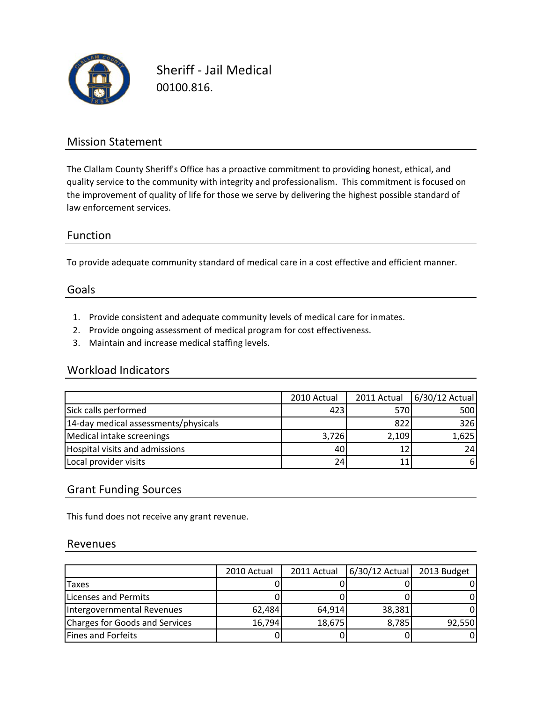

Sheriff ‐ Jail Medical 00100.816.

## Mission Statement

The Clallam County Sheriff's Office has a proactive commitment to providing honest, ethical, and quality service to the community with integrity and professionalism. This commitment is focused on the improvement of quality of life for those we serve by delivering the highest possible standard of law enforcement services.

## Function

To provide adequate community standard of medical care in a cost effective and efficient manner.

### Goals

- 1. Provide consistent and adequate community levels of medical care for inmates.
- 2. Provide ongoing assessment of medical program for cost effectiveness.
- 3. Maintain and increase medical staffing levels.

#### Workload Indicators

|                                      | 2010 Actual | 2011 Actual | 6/30/12 Actual |
|--------------------------------------|-------------|-------------|----------------|
| Sick calls performed                 | 423         | 570         | 500            |
| 14-day medical assessments/physicals |             | 822         | 326            |
| Medical intake screenings            | 3,726       | 2,109       | 1,625          |
| Hospital visits and admissions       | 40          |             | 24             |
| Local provider visits                | 24          |             | 61             |

## Grant Funding Sources

This fund does not receive any grant revenue.

#### Revenues

|                                | 2010 Actual | 2011 Actual | $6/30/12$ Actual | 2013 Budget |
|--------------------------------|-------------|-------------|------------------|-------------|
| <b>Taxes</b>                   |             |             |                  |             |
| Licenses and Permits           |             |             |                  |             |
| Intergovernmental Revenues     | 62,484      | 64,914      | 38,381           |             |
| Charges for Goods and Services | 16,794      | 18,675      | 8,785            | 92,550      |
| Fines and Forfeits             |             |             |                  |             |